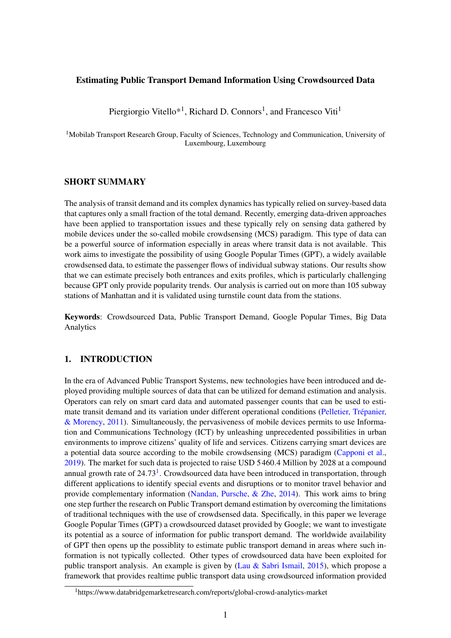### Estimating Public Transport Demand Information Using Crowdsourced Data

Piergiorgio Vitello<sup>\*1</sup>, Richard D. Connors<sup>1</sup>, and Francesco Viti<sup>1</sup>

<sup>1</sup>Mobilab Transport Research Group, Faculty of Sciences, Technology and Communication, University of Luxembourg, Luxembourg

# SHORT SUMMARY

The analysis of transit demand and its complex dynamics has typically relied on survey-based data that captures only a small fraction of the total demand. Recently, emerging data-driven approaches have been applied to transportation issues and these typically rely on sensing data gathered by mobile devices under the so-called mobile crowdsensing (MCS) paradigm. This type of data can be a powerful source of information especially in areas where transit data is not available. This work aims to investigate the possibility of using Google Popular Times (GPT), a widely available crowdsensed data, to estimate the passenger flows of individual subway stations. Our results show that we can estimate precisely both entrances and exits profiles, which is particularly challenging because GPT only provide popularity trends. Our analysis is carried out on more than 105 subway stations of Manhattan and it is validated using turnstile count data from the stations.

Keywords: Crowdsourced Data, Public Transport Demand, Google Popular Times, Big Data Analytics

# 1. INTRODUCTION

In the era of Advanced Public Transport Systems, new technologies have been introduced and deployed providing multiple sources of data that can be utilized for demand estimation and analysis. Operators can rely on smart card data and automated passenger counts that can be used to estimate transit demand and its variation under different operational conditions [\(Pelletier, Trépanier,](#page-6-0) [& Morency,](#page-6-0)  $2011$ ). Simultaneously, the pervasiveness of mobile devices permits to use Information and Communications Technology (ICT) by unleashing unprecedented possibilities in urban environments to improve citizens' quality of life and services. Citizens carrying smart devices are a potential data source according to the mobile crowdsensing (MCS) paradigm [\(Capponi et al.,](#page-6-1) [2019\)](#page-6-1). The market for such data is projected to raise USD 5460.4 Million by 2028 at a compound annual growth rate of  $24.73<sup>1</sup>$  $24.73<sup>1</sup>$  $24.73<sup>1</sup>$ . Crowdsourced data have been introduced in transportation, through different applications to identify special events and disruptions or to monitor travel behavior and provide complementary information [\(Nandan, Pursche, & Zhe,](#page-6-2) [2014\)](#page-6-2). This work aims to bring one step further the research on Public Transport demand estimation by overcoming the limitations of traditional techniques with the use of crowdsensed data. Specifically, in this paper we leverage Google Popular Times (GPT) a crowdsourced dataset provided by Google; we want to investigate its potential as a source of information for public transport demand. The worldwide availability of GPT then opens up the possiblity to estimate public transport demand in areas where such information is not typically collected. Other types of crowdsourced data have been exploited for public transport analysis. An example is given by [\(Lau & Sabri Ismail,](#page-6-3) [2015\)](#page-6-3), which propose a framework that provides realtime public transport data using crowdsourced information provided

<span id="page-0-0"></span><sup>1</sup>https://www.databridgemarketresearch.com/reports/global-crowd-analytics-market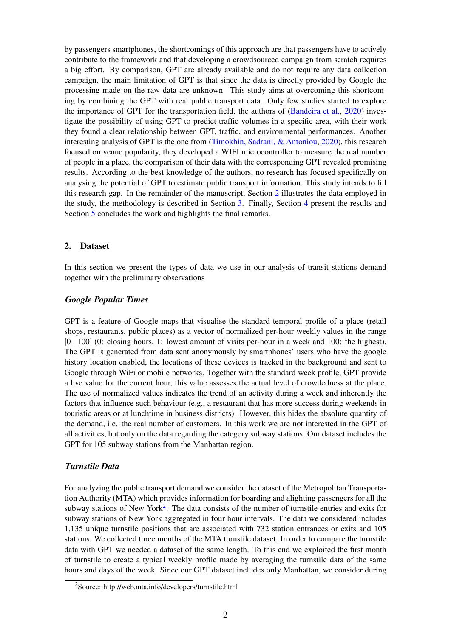by passengers smartphones, the shortcomings of this approach are that passengers have to actively contribute to the framework and that developing a crowdsourced campaign from scratch requires a big effort. By comparison, GPT are already available and do not require any data collection campaign, the main limitation of GPT is that since the data is directly provided by Google the processing made on the raw data are unknown. This study aims at overcoming this shortcoming by combining the GPT with real public transport data. Only few studies started to explore the importance of GPT for the transportation field, the authors of [\(Bandeira et al.,](#page-6-4) [2020\)](#page-6-4) investigate the possibility of using GPT to predict traffic volumes in a specific area, with their work they found a clear relationship between GPT, traffic, and environmental performances. Another interesting analysis of GPT is the one from [\(Timokhin, Sadrani, & Antoniou,](#page-7-0) [2020\)](#page-7-0), this research focused on venue popularity, they developed a WIFI microcontroller to measure the real number of people in a place, the comparison of their data with the corresponding GPT revealed promising results. According to the best knowledge of the authors, no research has focused specifically on analysing the potential of GPT to estimate public transport information. This study intends to fill this research gap. In the remainder of the manuscript, Section [2](#page-1-0) illustrates the data employed in the study, the methodology is described in Section [3.](#page-2-0) Finally, Section [4](#page-3-0) present the results and Section [5](#page-5-0) concludes the work and highlights the final remarks.

### <span id="page-1-0"></span>2. Dataset

In this section we present the types of data we use in our analysis of transit stations demand together with the preliminary observations

#### *Google Popular Times*

GPT is a feature of Google maps that visualise the standard temporal profile of a place (retail shops, restaurants, public places) as a vector of normalized per-hour weekly values in the range [0 : 100] (0: closing hours, 1: lowest amount of visits per-hour in a week and 100: the highest). The GPT is generated from data sent anonymously by smartphones' users who have the google history location enabled, the locations of these devices is tracked in the background and sent to Google through WiFi or mobile networks. Together with the standard week profile, GPT provide a live value for the current hour, this value assesses the actual level of crowdedness at the place. The use of normalized values indicates the trend of an activity during a week and inherently the factors that influence such behaviour (e.g., a restaurant that has more success during weekends in touristic areas or at lunchtime in business districts). However, this hides the absolute quantity of the demand, i.e. the real number of customers. In this work we are not interested in the GPT of all activities, but only on the data regarding the category subway stations. Our dataset includes the GPT for 105 subway stations from the Manhattan region.

### *Turnstile Data*

For analyzing the public transport demand we consider the dataset of the Metropolitan Transportation Authority (MTA) which provides information for boarding and alighting passengers for all the subway stations of New York<sup>[2](#page-1-1)</sup>. The data consists of the number of turnstile entries and exits for subway stations of New York aggregated in four hour intervals. The data we considered includes 1,135 unique turnstile positions that are associated with 732 station entrances or exits and 105 stations. We collected three months of the MTA turnstile dataset. In order to compare the turnstile data with GPT we needed a dataset of the same length. To this end we exploited the first month of turnstile to create a typical weekly profile made by averaging the turnstile data of the same hours and days of the week. Since our GPT dataset includes only Manhattan, we consider during

<span id="page-1-1"></span><sup>2</sup>Source: http://web.mta.info/developers/turnstile.html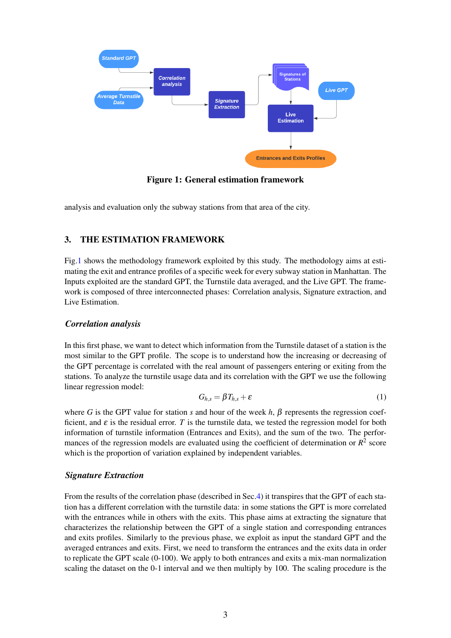<span id="page-2-1"></span>

Figure 1: General estimation framework

<span id="page-2-0"></span>analysis and evaluation only the subway stations from that area of the city.

# 3. THE ESTIMATION FRAMEWORK

Fig[.1](#page-2-1) shows the methodology framework exploited by this study. The methodology aims at estimating the exit and entrance profiles of a specific week for every subway station in Manhattan. The Inputs exploited are the standard GPT, the Turnstile data averaged, and the Live GPT. The framework is composed of three interconnected phases: Correlation analysis, Signature extraction, and Live Estimation.

# *Correlation analysis*

In this first phase, we want to detect which information from the Turnstile dataset of a station is the most similar to the GPT profile. The scope is to understand how the increasing or decreasing of the GPT percentage is correlated with the real amount of passengers entering or exiting from the stations. To analyze the turnstile usage data and its correlation with the GPT we use the following linear regression model:

<span id="page-2-2"></span>
$$
G_{h,s} = \beta T_{h,s} + \varepsilon \tag{1}
$$

where *G* is the GPT value for station *s* and hour of the week *h*,  $\beta$  represents the regression coefficient, and  $\varepsilon$  is the residual error. *T* is the turnstile data, we tested the regression model for both information of turnstile information (Entrances and Exits), and the sum of the two. The performances of the regression models are evaluated using the coefficient of determination or  $R^2$  score which is the proportion of variation explained by independent variables.

# *Signature Extraction*

From the results of the correlation phase (described in Sec[.4\)](#page-3-0) it transpires that the GPT of each station has a different correlation with the turnstile data: in some stations the GPT is more correlated with the entrances while in others with the exits. This phase aims at extracting the signature that characterizes the relationship between the GPT of a single station and corresponding entrances and exits profiles. Similarly to the previous phase, we exploit as input the standard GPT and the averaged entrances and exits. First, we need to transform the entrances and the exits data in order to replicate the GPT scale (0-100). We apply to both entrances and exits a mix-man normalization scaling the dataset on the 0-1 interval and we then multiply by 100. The scaling procedure is the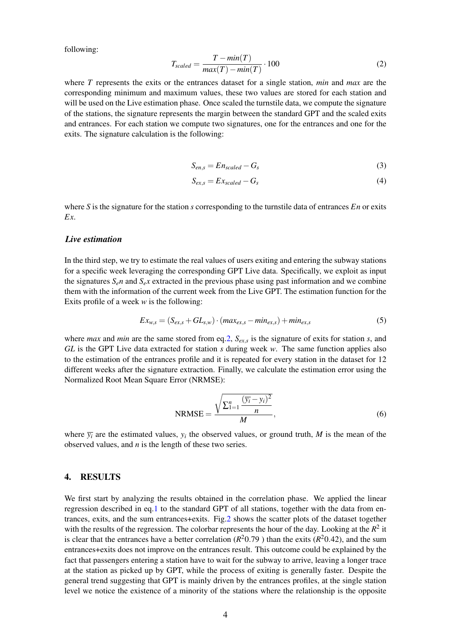following:

<span id="page-3-1"></span>
$$
T_{scaled} = \frac{T - min(T)}{max(T) - min(T)} \cdot 100
$$
\n(2)

where *T* represents the exits or the entrances dataset for a single station, *min* and *max* are the corresponding minimum and maximum values, these two values are stored for each station and will be used on the Live estimation phase. Once scaled the turnstile data, we compute the signature of the stations, the signature represents the margin between the standard GPT and the scaled exits and entrances. For each station we compute two signatures, one for the entrances and one for the exits. The signature calculation is the following:

<span id="page-3-2"></span>
$$
S_{en,s} = En_{scaled} - G_s \tag{3}
$$

<span id="page-3-3"></span>
$$
S_{ex,s} = Ex_{scaled} - G_s \tag{4}
$$

where *S* is the signature for the station *s* corresponding to the turnstile data of entrances *En* or exits *Ex*.

#### *Live estimation*

In the third step, we try to estimate the real values of users exiting and entering the subway stations for a specific week leveraging the corresponding GPT Live data. Specifically, we exploit as input the signatures  $S_{e}n$  and  $S_{e}x$  extracted in the previous phase using past information and we combine them with the information of the current week from the Live GPT. The estimation function for the Exits profile of a week *w* is the following:

$$
Ex_{w,s} = (S_{ex,s} + GL_{s,w}) \cdot (max_{ex,s} - min_{ex,s}) + min_{ex,s}
$$
 (5)

where *max* and *min* are the same stored from eq[.2,](#page-3-1) *Sex*,*<sup>s</sup>* is the signature of exits for station *s*, and *GL* is the GPT Live data extracted for station *s* during week *w*. The same function applies also to the estimation of the entrances profile and it is repeated for every station in the dataset for 12 different weeks after the signature extraction. Finally, we calculate the estimation error using the Normalized Root Mean Square Error (NRMSE):

$$
NRMSE = \frac{\sqrt{\sum_{i=1}^{n} \frac{(\overline{y_i} - y_i)^2}{n}}}{M},
$$
\n(6)

<span id="page-3-0"></span>where  $\overline{y_i}$  are the estimated values,  $y_i$  the observed values, or ground truth, *M* is the mean of the observed values, and *n* is the length of these two series.

### 4. RESULTS

We first start by analyzing the results obtained in the correlation phase. We applied the linear regression described in eq[.1](#page-2-2) to the standard GPT of all stations, together with the data from entrances, exits, and the sum entrances+exits. Fig[.2](#page-4-0) shows the scatter plots of the dataset together with the results of the regression. The colorbar represents the hour of the day. Looking at the  $R^2$  it is clear that the entrances have a better correlation ( $R^2$ 0.79) than the exits ( $R^2$ 0.42), and the sum entrances+exits does not improve on the entrances result. This outcome could be explained by the fact that passengers entering a station have to wait for the subway to arrive, leaving a longer trace at the station as picked up by GPT, while the process of exiting is generally faster. Despite the general trend suggesting that GPT is mainly driven by the entrances profiles, at the single station level we notice the existence of a minority of the stations where the relationship is the opposite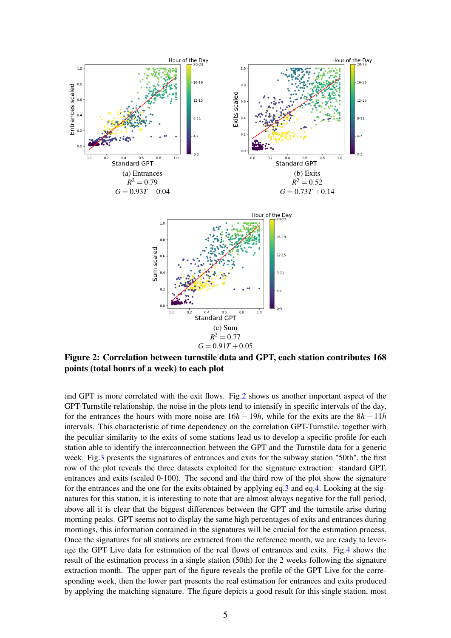<span id="page-4-0"></span>

Figure 2: Correlation between turnstile data and GPT, each station contributes 168 points (total hours of a week) to each plot

and GPT is more correlated with the exit flows. Fig[.2](#page-4-0) shows us another important aspect of the GPT-Turnstile relationship, the noise in the plots tend to intensify in specific intervals of the day, for the entrances the hours with more noise are 16*h* − 19*h*, while for the exits are the 8*h* − 11*h* intervals. This characteristic of time dependency on the correlation GPT-Turnstile, together with the peculiar similarity to the exits of some stations lead us to develop a specific profile for each station able to identify the interconnection between the GPT and the Turnstile data for a generic week. Fig[.3](#page-5-1) presents the signatures of entrances and exits for the subway station "50th", the first row of the plot reveals the three datasets exploited for the signature extraction: standard GPT, entrances and exits (scaled 0-100). The second and the third row of the plot show the signature for the entrances and the one for the exits obtained by applying eq[.3](#page-3-2) and eq[.4.](#page-3-3) Looking at the signatures for this station, it is interesting to note that are almost always negative for the full period, above all it is clear that the biggest differences between the GPT and the turnstile arise during morning peaks. GPT seems not to display the same high percentages of exits and entrances during mornings, this information contained in the signatures will be crucial for the estimation process. Once the signatures for all stations are extracted from the reference month, we are ready to leverage the GPT Live data for estimation of the real flows of entrances and exits. Fig[.4](#page-6-5) shows the result of the estimation process in a single station (50th) for the 2 weeks following the signature extraction month. The upper part of the figure reveals the profile of the GPT Live for the corresponding week, then the lower part presents the real estimation for entrances and exits produced by applying the matching signature. The figure depicts a good result for this single station, most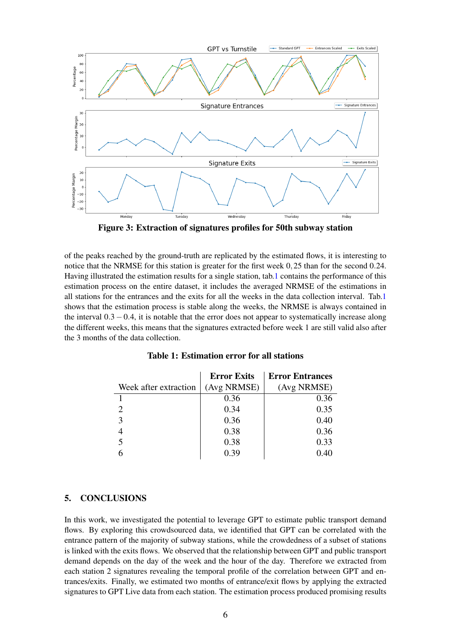<span id="page-5-1"></span>

Figure 3: Extraction of signatures profiles for 50th subway station

of the peaks reached by the ground-truth are replicated by the estimated flows, it is interesting to notice that the NRMSE for this station is greater for the first week 0,25 than for the second 0.24. Having illustrated the estimation results for a single station, tab[.1](#page-5-2) contains the performance of this estimation process on the entire dataset, it includes the averaged NRMSE of the estimations in all stations for the entrances and the exits for all the weeks in the data collection interval. Tab[.1](#page-5-2) shows that the estimation process is stable along the weeks, the NRMSE is always contained in the interval  $0.3-0.4$ , it is notable that the error does not appear to systematically increase along the different weeks, this means that the signatures extracted before week 1 are still valid also after the 3 months of the data collection.

<span id="page-5-2"></span>

|                       | <b>Error Exits</b> | <b>Error Entrances</b> |
|-----------------------|--------------------|------------------------|
| Week after extraction | (Avg NRMSE)        | (Avg NRMSE)            |
|                       | 0.36               | 0.36                   |
|                       | 0.34               | 0.35                   |
| 3                     | 0.36               | 0.40                   |
|                       | 0.38               | 0.36                   |
| 5                     | 0.38               | 0.33                   |
|                       | 0.39               | 0.40                   |

# <span id="page-5-0"></span>5. CONCLUSIONS

In this work, we investigated the potential to leverage GPT to estimate public transport demand flows. By exploring this crowdsourced data, we identified that GPT can be correlated with the entrance pattern of the majority of subway stations, while the crowdedness of a subset of stations is linked with the exits flows. We observed that the relationship between GPT and public transport demand depends on the day of the week and the hour of the day. Therefore we extracted from each station 2 signatures revealing the temporal profile of the correlation between GPT and entrances/exits. Finally, we estimated two months of entrance/exit flows by applying the extracted signatures to GPT Live data from each station. The estimation process produced promising results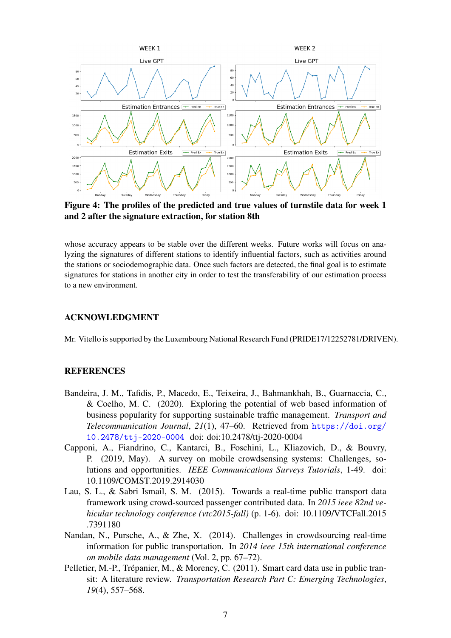<span id="page-6-5"></span>

Figure 4: The profiles of the predicted and true values of turnstile data for week 1 and 2 after the signature extraction, for station 8th

whose accuracy appears to be stable over the different weeks. Future works will focus on analyzing the signatures of different stations to identify influential factors, such as activities around the stations or sociodemographic data. Once such factors are detected, the final goal is to estimate signatures for stations in another city in order to test the transferability of our estimation process to a new environment.

# ACKNOWLEDGMENT

Mr. Vitello is supported by the Luxembourg National Research Fund (PRIDE17/12252781/DRIVEN).

# **REFERENCES**

- <span id="page-6-4"></span>Bandeira, J. M., Tafidis, P., Macedo, E., Teixeira, J., Bahmankhah, B., Guarnaccia, C., & Coelho, M. C. (2020). Exploring the potential of web based information of business popularity for supporting sustainable traffic management. *Transport and Telecommunication Journal*, *21*(1), 47–60. Retrieved from [https://doi.org/](https://doi.org/10.2478/ttj-2020-0004) [10.2478/ttj-2020-0004](https://doi.org/10.2478/ttj-2020-0004) doi: doi:10.2478/ttj-2020-0004
- <span id="page-6-1"></span>Capponi, A., Fiandrino, C., Kantarci, B., Foschini, L., Kliazovich, D., & Bouvry, P. (2019, May). A survey on mobile crowdsensing systems: Challenges, solutions and opportunities. *IEEE Communications Surveys Tutorials*, 1-49. doi: 10.1109/COMST.2019.2914030
- <span id="page-6-3"></span>Lau, S. L., & Sabri Ismail, S. M. (2015). Towards a real-time public transport data framework using crowd-sourced passenger contributed data. In *2015 ieee 82nd vehicular technology conference (vtc2015-fall)* (p. 1-6). doi: 10.1109/VTCFall.2015 .7391180
- <span id="page-6-2"></span>Nandan, N., Pursche, A., & Zhe, X. (2014). Challenges in crowdsourcing real-time information for public transportation. In *2014 ieee 15th international conference on mobile data management* (Vol. 2, pp. 67–72).
- <span id="page-6-0"></span>Pelletier, M.-P., Trépanier, M., & Morency, C. (2011). Smart card data use in public transit: A literature review. *Transportation Research Part C: Emerging Technologies*, *19*(4), 557–568.